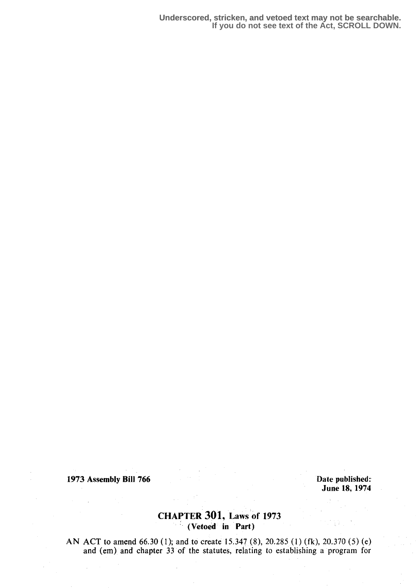1973 Assembly Bill 766

Date published: June 18, 1974

# **CHAPTER 301, Laws of 1973**  $(Vectored in Part)$

AN ACT to amend 66.30 (1); and to create 15.347 (8), 20.285 (1) (fk), 20.370 (5) (e) and (em) and chapter 33 of the statutes, relating to establishing a program for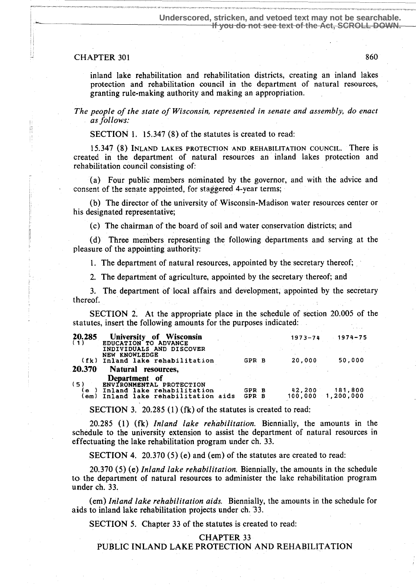### CHAPTER 301 860

 $\frac{1}{2} \left( \frac{1}{2} \right) \left( \frac{1}{2} \right) \left( \frac{1}{2} \right)$ 

inland lake rehabilitation and rehabilitation districts, creating an inland lakes protection and rehabilitation council in the department of natural resources, granting rule-making authority and making an appropriation.

The people of the state of Wisconsin, represented in senate and assembly, do enact as follows:

SECTION 1. 15.347 (8) of the statutes is created to read:

----- -- -------

15.347 (8) INLAND LAKES PROTECTION AND REHABILITATION COUNCIL. There is created in the department of natural resources an inland lakes protection and rehabilitation council consisting of:

(a) Four public members nominated by the governor, and with the advice and consent of the senate appointed, for staggered 4-year terms;

(b) The director of the university of Wisconsin-Madison water resources center or his designated representative;

(c) The chairman of the board of soil and water conservation districts; and

(d) Three members representing the following departments and serving at the pleasure of the appointing authority:

1. The department of natural resources, appointed by the secretary thereof;

2. The department of agriculture, appointed by the secretary thereof; and

3. The department of local affairs and development, appointed by the secretary thereof.

I SECTION 2. At the appropriate place in the schedule of section 20.005 of the statutes, insert the following amounts for the purposes indicated:

| 20.285<br>(1) | University of Wisconsin<br>EDUCATION TO ADVANCE<br>INDIVIDUALS AND DISCOVER<br>NEW KNOWLEDGE |                | $1973 - 74$       | 1974-75              |
|---------------|----------------------------------------------------------------------------------------------|----------------|-------------------|----------------------|
| (fk)          | Inland lake rehabilitation                                                                   | GPR B          | 20.000            | 50.000               |
| 20.370        | <b>Natural</b><br>resources.                                                                 |                |                   |                      |
| (5)           | Department of<br>ENVIRONMENTAL PROTECTION                                                    |                |                   |                      |
| l e<br>lem )  | Inland lake rehabilitation<br>Inland lake rehabilitation aids                                | GPR B<br>GPR B | 42,200<br>100.000 | 181,800<br>1,200,000 |

SECTION 3. 20.285 (1) (fk) of the statutes is created to read:

20.285 (1) (fk) Inland lake rehabilitation . Biennially, the amounts in the schedule to the university extension to assist the department of natural resources in effectuating the lake rehabilitation program under ch. 33 .

SECTION 4. 20.370 (5) (e) and (em) of the statutes are created to read:

20.370 (5) (e) Inland lake rehabilitation. Biennially, the amounts in the schedule to the department of natural resources to administer the lake rehabilitation program under ch. 33.

(em) Inland lake rehabilitation aids. Biennially, the amounts in the schedule for aids to inland lake rehabilitation projects under ch. 33.

SECTION 5. Chapter 33 of the statutes is created to read:

#### CHAPTER 33

PUBLIC INLAND LAKE PROTECTION AND REHABILITATION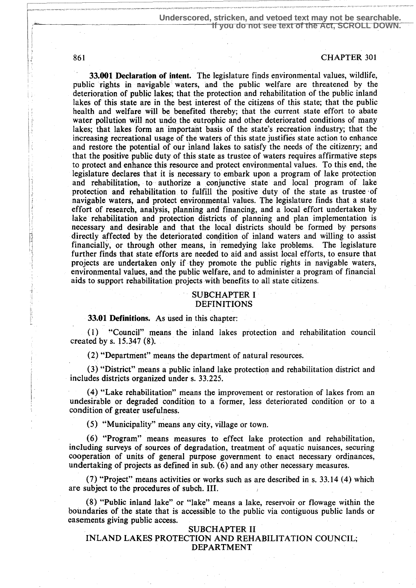33.001 Declaration of intent. The legislature finds environmental values, wildlife, public rights in navigable waters, and the public welfare are threatened by the deterioration of public lakes; that the protection and rehabilitation of the public inland lakes of this state are in the best interest of the citizens of this state; that the public health and welfare will be benefited thereby; that the current state effort to abate water pollution will not undo the eutrophic and other deteriorated conditions of many lakes; that lakes form an important basis of the state's recreation industry; that the increasing recreational usage of the waters of this state justifies state action to enhance and restore the potential of our inland lakes to satisfy the needs of the citizenry; and that the positive public duty of this state as trustee of waters requires affirmative steps to protect and enhance this resource and protect environmental values . To this end, the legislature declares that it is necessary to embark upon a program of lake protection and rehabilitation, to authorize a conjunctive state and local program of lake protection and rehabilitation to fulfill the positive duty of the state as trustee of navigable waters, and protect environmental values . The legislature finds that a state effort of research, analysis, planning and financing, and a local effort undertaken by lake rehabilitation and protection districts of planning and plan implementation is ` necessary and desirable and that the local districts should be formed by persons directly affected by the deteriorated condition of inland waters and willing to assist financially, or through other means, in remedying lake problems. The legislature further finds that state efforts are needed to aid and assist local efforts, to ensure that projects are undertaken only if they promote the public rights in navigable waters, environmental values, and the public welfare, and to administer a program of financial aids to support rehabilitation projects with benefits to all state citizens.

# SUBCHAPTER I DEFINITIONS

### 33.01 Definitions. As used in this chapter:

(1) "Council" means the inland lakes protection and rehabilitation council created by s.  $15.347(8)$ .

(2) "Department" means the department of natural resources .

(3) "District" means a public inland lake protection and rehabilitation district and includes districts organized under s. 33.225.

(4) "Lake rehabilitation" means the improvement or restoration of lakes from an undesirable or degraded condition to a former, less deteriorated condition or to a condition of greater usefulness.

(5) "Municipality" means any city, village or town.

(6) "Program" means measures to effect lake protection and rehabilitation, including surveys of sources of degradation, treatment of aquatic nuisances, securing cooperation of units of general purpose government to enact necessary ordinances, undertaking of projects as defined in sub. (6) and any other necessary measures.

(7) "Project" means activities or works such as are described in s. 33.14 (4) which are subject to the procedures of subch. III.

(8) "Public inland lake" or "lake" means a lake, reservoir or flowage within the boundaries of the state that is accessible to the public via contiguous public lands or easements giving public access.

SUBCHAPTER II INLAND LAKES PROTECTION AND REHABILITATION COUNCIL; DEPARTMENT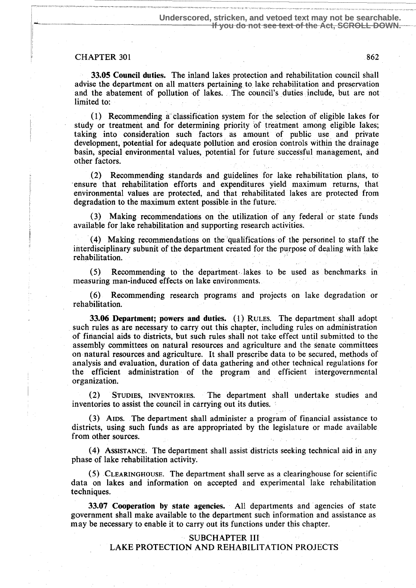### CHAPTER 301 862

l

33.05 Council duties. The inland lakes protection and rehabilitation council shall advise the department on all matters pertaining to. lake rehabilitation and preservation and the abatement of pollution of lakes. The council's duties include, but are not limited to:

 $(1)$  Recommending a classification system for the selection of eligible lakes for study or treatment. and for determining priority 'of treatment among eligible lakes; taking into consideration such factors as amount of public use and private development, potential for adequate pollution and erosion controls within the drainage basin, special environmental values, potential for future successful management, and other factors.

(2) Recommending standards and guidelines for lake rehabilitation plans, to ensure that rehabilitation efforts and expenditures yield maximum returns; that environmental values are protected, and that rehabilitated lakes are protected from degradation to the maximum extent possible in the future.

(3) Making recommendations on the utilization of any federal or state funds available for lake rehabilitation and supporting research activities .

(4) Making recommendations on the `qualifications of the personnel to staff the interdisciplinary subunit of the department created for the purpose of dealing with lake rehabilitation.

(5) Recommending to the department, lakes to be used as benchmarks. in measuring man-induced effects on lake environments.

(6) Recommending research programs and projects on lake degradation or rehabilitation.

33.06 Department; powers and duties. (1) RULES. The department shall adopt such rules as are necessary to carry out this chapter, including rules on administration of financial aids to districts, but such rules shall not take effect until submitted to the assembly committees on natural resources and agriculture and the senate committees on natural resources and agriculture. It shall prescribe data to be secured, methods of analysis and evaluation, duration of data gathering and other technical regulations for the efficient administration of the program and efficient intergovernmental organization.

(2) STUDIES, INVENTORIES. The department shall undertake studies and inventories to assist the council in carrying out its duties.

(3) AIDS. The department shall administer a program of financial assistance to districts, using such funds as are appropriated by the legislature or made available from other sources.

(4) ASSISTANCE . The department shall assist districts seeking technical aid in any phase of lake rehabilitation activity.

(5) CLEARINGHOUSE. The department shall serve as a clearinghouse for scientific data on lakes and information on accepted and experimental lake rehabilitation techniques.

33.07 Cooperation by state agencies . All departments and agencies of state government shall make available to the department such information and assistance as may be necessary to enable it to carry out its functions under this chapter.

### SUBCHAPTER III

LAKE PROTECTION AND REHABILITATION PROJECTS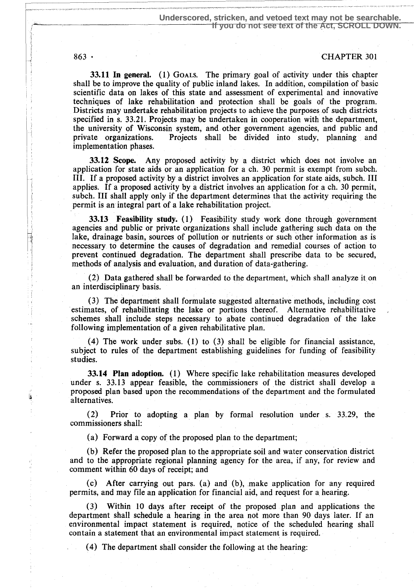L

# 863 CHAPTER 301

33.11 In general. (1) GOALS. The primary goal of activity under this chapter shall be to improve the quality of public inland lakes. In addition, compilation of basic scientific data on lakes of this state and assessment of experimental and innovative techniques of lake rehabilitation and protection shall be goals of the program. Districts may undertake rehabilitation projects to achieve the purposes of such districts specified in s. 33.21. Projects may be undertaken in cooperation with the department, the university of Wisconsin system, and other government agencies, and public and private organizations. Projects shall be divided into study, planning and Projects shall be divided into study, planning and implementation phases.

33.12 Scope. Any proposed activity by a district which does not involve an application for state aids or an application for a ch. 30 permit is exempt from subch. III. If a proposed activity by a district involves an application for state aids, subch. III applies. If a proposed activity by a district involves an application for a ch. 30 permit, subch. III shall apply only if the department determines that the activity requiring the permit is an integral part of a lake rehabilitation project.

33:13 Feasibility study. (1) Feasibility study work done through government agencies and public or private organizations shall include gathering such data on the lake, drainage basin, sources of pollution or nutrients or such other information as is necessary to determine the causes of degradation and remedial courses of action to prevent continued degradation. The department shall prescribe data to be secured, methods of analysis and evaluation, and duration of data=gathering.

 $(2)$  Data gathered shall be forwarded to the department, which shall analyze it on an interdisciplinary basis.

(3) The department shall formulate suggested alternative methods, including cost estimates, of rehabilitating the lake or portions thereof. Alternative rehabilitative schemes shall include steps necessary to abate continued degradation of the lake following implementation of a given rehabilitative plan.

(4) The work under subs. (1) to (3) shall be eligible for financial assistance, subject to rules of the department establishing guidelines for funding of feasibility studies.

33.14 Plan adoption. (1) Where specific lake rehabilitation measures developed under s. 33.13 appear feasible, the commissioners of the district shall develop a proposed plan based upon the recommendations of the department and the formulated alternatives.

(2) Prior to adopting a plan by formal resolution under s. 33.29, the commissioners shall:

(a) Forward a copy of the proposed plan to the department;

(b) Refer the proposed plan to the appropriate soil and water conservation district and to the appropriate regional planning agency for the area, if any, for review and comment within 60 days of receipt; and

 $(c)$  After carrying out pars. (a) and (b), make application for any required permits, and may file an application for financial aid, and request for a. hearing.

(3) Within 10 days after receipt of the proposed plan and applications the department shall schedule a hearing in the area not more than 90 days later. If an environmental impact statement is required, notice of the scheduled hearing shall contain a statement that an environmental impact statement is required.

(4) The department shall consider the following at the hearing: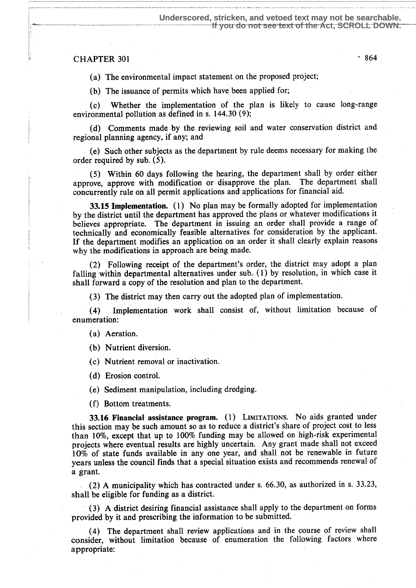# $CHAPTER$  301  $864$

(a) The environmental impact statement on the proposed project;

(b) The issuance of permits which have been applied for;

(c) Whether the implementation of the plan is likely to cause long-range environmental pollution as defined in s. 144.30 (9);

(d) Comments made by the reviewing soil and water conservation district and regional planning agency, if any; and

(e) Such other subjects as the department by rule deems necessary for making the order required by sub. (5).

(5) Within 60 days following the hearing, the department shall by order either approve, approve with modification or disapprove the plan. The department shall concurrently rule on all permit applications and applications for financial aid.

33.15 Implementation. (1) No plan may be formally adopted for implementation by the district until the department has approved the plans or whatever modifications it believes appropriate. The department in issuing an order shall provide a range of technically and economically feasible alternatives for consideration by the applicant. If the department modifies an application on an order it shall clearly explain reasons why the modifications in approach are being made.

(2) Following receipt of the department's order, the district may adopt a plan falling within departmental alternatives under sub: (1) by resolution; in which case it shall forward a copy of the resolution and plan to the department.

(3) The district may then carry out the adopted plan of implementation .

(4) Implementation work shall consist of, without limitation because of enumeration:

(a) Aeration.

(b) Nutrient diversion.

(c) Nutrient removal or inactivation .

(d) Erosion control.

(e) Sediment manipulation, including dredging .

(f) Bottom treatments.

33.16 Financial assistance program. (1) LIMITATIONS. No aids granted under this section may be such amount so as to reduce a district's share of project cost to less than 10%, except that up to 100% funding may be allowed on high-risk experimental projects where eventual results are highly uncertain. Any grant made shall not exceed 10% of state funds available in any one year, and shall not be renewable in future years unless the council finds that a special situation exists and recommends renewal of a grant.

(2) A municipality which has contracted under s. 66.30, as authorized in s. 33.23, shall be eligible for funding as a district.

(3) A district desiring financial assistance shall apply to the department on forms provided by it and prescribing the information to be submitted.

(4) The department shall review applications and in the course of review shall consider, without limitation because of enumeration the following factors where appropriate: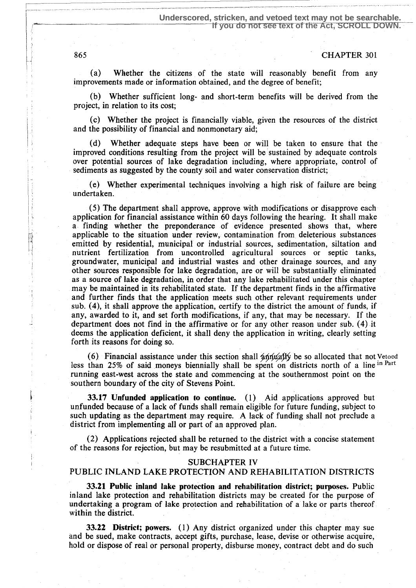865 CHAPTER 301

(a) Whether the citizens of the state will reasonably benefit from any improvements made or information obtained, and the degree of benefit;

(b) Whether sufficient long- and short-term benefits will be derived from the project, in relation to its cost;

(c) Whether the project is financially viable, given the resources of the district and the possibility of financial and nonmonetary aid;

(d) Whether adequate steps have been or will be taken to ensure that the improved conditions resulting from the project will be sustained by adequate controls over potential sources of lake degradation including, where appropriate, control of sediments as suggested by the county soil and water conservation district;

(e) Whether experimental techniques involving a high risk of failure are being undertaken.

(5) The department shall approve, approve with modifications or disapprove each application for financial assistance within 60 days following the hearing. It shall make a finding whether the preponderance of evidence presented shows that, where applicable to the situation under review, contamination from deleterious substances emitted by residential, municipal or industrial sources, sedimentation, siltation and nutrient fertilization from uncontrolled agricultural sources or septic tanks, groundwater, municipal and industrial wastes and other drainage sources, and any other sources responsible for lake degradation, are or will be substantially eliminated as a source of lake degradation, in order that any lake rehabilitated under this chapter may be maintained in its rehabilitated state. If the department finds in the affirmative and further finds that the application meets such other relevant requirements under sub. (4), it shall approve the application, certify to the district the amount of funds, if any, awarded to it, and set forth modifications, if any, that may be necessary. If the department does not find in the affirmative or for any other reason under sub. (4) it deems the application deficient, it shall deny the application in writing, clearly setting forth its reasons for doing so.

(6) Financial assistance under this section shall  $\frac{4}{4}$ th  $\frac{4}{4}$ y be so allocated that not Vetoed less than 25% of said moneys biennially shall be spent on districts north of a line in Part running east-west across the state and commencing at the southernmost point on the southern boundary of the city of Stevens Point.

33.17 Unfunded application to continue. (1) Aid applications approved but unfunded because of a lack of funds shall remain eligible for future funding, subject to such updating as the department may require. A lack of funding shall not preclude a district from implementing all or part of an approved plan.

(2) Applications rejected shall be returned to the district with a concise statement of the reasons for rejection, but may be resubmitted at a future time.

#### SUBCHAPTER IV

# PUBLIC INLAND LAKE PROTECTION AND REHABILITATION DISTRICTS

33.21 Public inland lake protection and rehabilitation district; purposes. Public inland lake protection and rehabilitation districts may be created for the purpose of undertaking a program of lake protection and rehabilitation of a lake or parts thereof within the district.

**33.22 District; powers.** (1) Any district organized under this chapter may sue and be sued, make contracts, accept gifts, purchase, lease, devise or otherwise acquire, hold or dispose of real or personal property, disburse money, contract debt and do such

R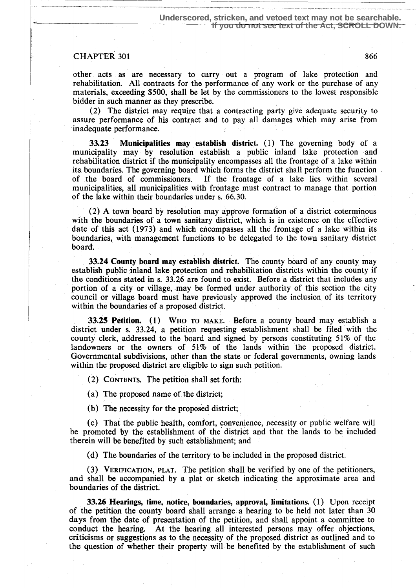### CHAPTER 301 866

other acts as are necessary to carry out a program of lake protection and rehabilitation. All contracts for the performance of any work or the purchase of any materials, exceeding \$500, shall be let by the commissioners to the lowest responsible bidder in such manner as they prescribe.

(2) The district may require that a contracting party give adequate security to assure performance of his contract and to pay all damages which may arise from inadequate performance.

33.23 Municipalities may establish district . (1) The governing body of a municipality may by resolution establish a public inland lake protection and rehabilitation district if the municipality encompasses all the frontage of a lake within its. boundaries. The governing board which forms the district shall perform the function of .the board of commissioners. If the frontage of a lake lies within several municipalities, all municipalities with frontage must contract to manage that portion of the lake within their boundaries under s. 66.30.

(2) A town board by resolution may approve formation of a district coterminous with the boundaries of a town sanitary district, which is in existence on the effective date of this act (1973) and which encompasses all the frontage of a' lake within its boundaries, with management functions to be delegated to the town sanitary district board.

33.24 County board may establish district. The county board of any county may establish public inland lake protection and rehabilitation districts within the county if the conditions stated in s. 33.26 are found to exist. Before a district that includes any portion of a city or village, may be formed under authority of this section the city council or village board must have previously approved the inclusion of its territory within the boundaries of a proposed district.

33.25 Petition. (1) Who to MAKE. Before, a county board may establish a district under s. 33.24, a petition requesting establishment shall be filed with the county clerk, addressed to the board and signed by persons constituting 51% of the landowners or the owners of 51% of the lands within the proposed district. Governmental subdivisions, other than the state or federal governments, owning lands within the proposed district are eligible to sign such petition.

(2) CONTENTS. The petition shall set forth:

(a) The proposed name of the district;

(b) The necessity for the proposed district;

(c) That the public health, comfort, convenience, necessity or public welfare will be promoted by the establishment of the district and that the lands to be included therein will be benefited by such establishment; and

(d) The boundaries of the territory to be included in the proposed district.

(3) VERIFICATION, PLAT. The petition shall be verified by one of the petitioners, and shall be accompanied by a plat or sketch indicating the approximate area and boundaries of the district.

33.26 Hearings, time, notice, boundaries, approval, limitations. (1) Upon receipt of the petition the county board shall arrange a hearing to be held not later than 30 days from the date of presentation of the petition, and shall appoint a committee to conduct the hearing. At the hearing all interested persons may offer objections, At the hearing all interested persons may offer objections, criticisms or suggestions as to the necessity of the proposed district as outlined and to the question of whether their property will be benefited by the establishment of such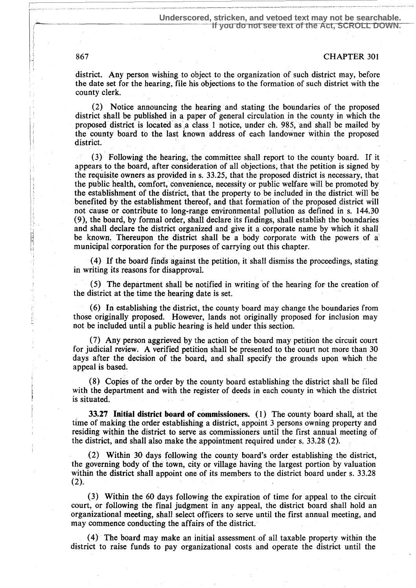district. Any person wishing to object to the organization of such district may, before the date set for the hearing, file his objections to the formation of such district with the county clerk.

(2) Notice announcing the hearing and stating the boundaries of the proposed district shall be published in a paper of general circulation in the county in which the proposed district is located as a class 1 notice, under ch. 985, and shall be mailed by the county board to the last known address of each landowner within the proposed district.

(3) Following the hearing, the committee shall report to the county board. If it appears to the board, after consideration of all objections, that the petition is signed by the requisite owners as provided in s. 33.25, that the proposed district is necessary, that the public health, comfort, convenience, necessity or public welfare will be promoted by the establishment of the district, that the property to be included in the district will be benefited by the establishment thereof, and that formation of the proposed district will not cause or contribute to long-range environmental pollution as defined in s. 144.30 (9), the board, by formal order, shall declare its findings, shall establish the boundaries and shall declare the district organized and give it a corporate name by which it shall be known. Thereupon the district shall be a body corporate with the powers of a municipal corporation for the purposes of carrying out this chapter.

(4) If the board finds against the petition, it shall dismiss the proceedings, stating in writing its reasons for disapproval.

(5) The department shall be notified in writing of the hearing for the creation of the district at the time the hearing date is set.

(6) In establishing the district, the county board may change the boundaries from those originally proposed. However, lands not originally proposed for inclusion may not be included until a public hearing is held under this section.

(7) Any person aggrieved by the action of the board may petition the circuit court for judicial review, A verified petition shall be presented to the court not more than 30 days after the decision of the board, and shall specify the grounds upon which the appeal is based.

(8) Copies of the order by the county board establishing the district shall be filed with the department and with the register of deeds in each county in which the district is situated.

33.27 Initial district board of commissioners. (1) The county board shall, at the time of making the order establishing a district, appoint 3 persons owning property and residing within the district to serve as commissioners until the first annual meeting of the district, and shall also make the appointment required under s. 33.28 (2).

(2) Within 30 days following the county board's order establishing the district, the governing body of the town, city or village having the largest portion by valuation within the district shall appoint one of its members to the district board under s. 33.28  $(2).$ 

(3) Within the 60 days following the expiration of time for appeal to the circuit court, or following the final judgment in any appeal, the district board shall hold an organizational meeting, shall select officers to serve until the first annual meeting, and may commence conducting the affairs of the district.

(4) The board may make an initial assessment of all taxable property within the district to raise funds to pay organizational costs and operate the district until the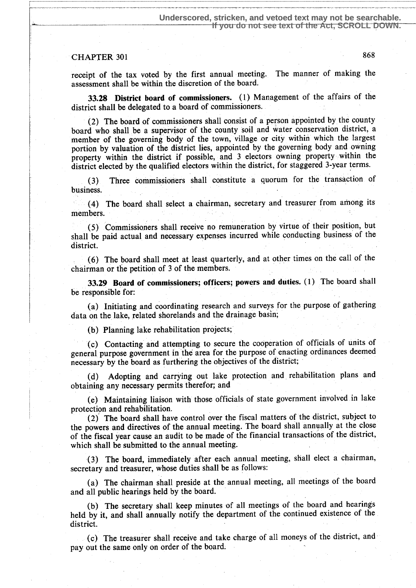# CHAPTER 301 868

receipt of the tax voted by the first annual meeting. The manner of making the assessment shall be within the discretion of the board.

33.28 District board of commissioners . (1) Management of the affairs of the district shall be delegated to a board of commissioners.

(2) The board of commissioners shall consist of a person appointed by the county board who shall be a supervisor of the county soil and water conservation district, a member of the governing body of the town, village or city within which the largest portion by valuation of the district lies, appointed by the governing body and owning property within the district if possible, and 3 electors owning property ,within the district elected by the qualified electors within the district, for staggered 3-year terms.

(3) Three commissioners shall constitute a quorum for the transaction of business.

(4) The 'board shall select a chairman, secretary and treasurer from among its members.

(5) Commissioners shall receive no remuneration by virtue of their position, but shall be paid actual and necessary expenses incurred while conducting business of the district.

(6) The board shall meet at least quarterly, and at other times on the call of the chairman or the petition of 3 of the members.

33.29 Board of commissioners; officers; powers and duties. (1) The board shall be responsible for:

(a) Initiating and coordinating research and surveys for the purpose of gathering data on the lake, related shorelands and the drainage basin;

(b) Planning lake rehabilitation projects;

(c) Contacting and attempting to secure the cooperation of officials of units of general purpose government in the area for the purpose of enacting ordinances deemed necessary by the board as furthering the objectives of the district ;

(d) Adopting and carrying out lake protection and rehabilitation plans and obtaining any necessary permits therefor; and

(e) Maintaining liaison with those officials of state government involved in lake protection and rehabilitation.

(2) The board shall have control over the fiscal matters of 'the district, subject to the powers and directives of the annual meeting. The board shall annually at the close of the fiscal year cause an audit to be made of the financial transactions of the district, which shall be submitted to the annual meeting.

(3) The board, immediately after each annual meeting, shall elect a chairman, secretary and treasurer, whose duties shall be as follows:

(a) The chairman shall preside at the annual meeting, all meetings of the board and all public hearings held by the board.

(b) The secretary shall keep minutes of all meetings of the board and hearings held by it, and shall annually notify the department of the continued existence of the district.

(c) The treasurer shall receive and take charge of all moneys of the district, and pay out the same only on order of the board: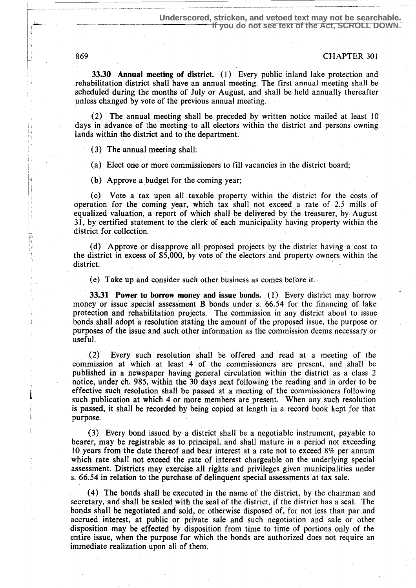33.30 Annual meeting of district . (1) Every public inland lake protection and rehabilitation district shall have an annual meeting. The first annual meeting shall be scheduled during the months of July or August, and shall be held annually thereafter unless changed by vote of the previous annual meeting.

(2) The annual meeting shall be preceded by written notice mailed at least 10 days in advance of the meeting to all electors within the district and persons owning lands within the district and to the department.

(3) The annual meeting shall:

(a) Elect one or more commissioners to fill vacancies in the district board;

(b) Approve a budget for the coming year;

(c) Vote a tax upon all taxable property within the district for the costs of operation for the coming year, which tax shall not exceed a rate of 2.5 mills of equalized valuation, a report of which shall be delivered by the treasurer, by August 31, by certified statement to the clerk of each municipality having property within the  $\frac{1}{2}$  district for collection.

(d) Approve or disapprove all proposed projects by the district having a cost to the district in excess of \$5,000, by vote of the electors and property owners within the district.

(e) Take up and consider such other business as comes before it .

33.31 Power to borrow money and issue bonds. (1) Every district may borrow money or issue special assessment B bonds under s. 66.54 for the financing of lake protection and rehabilitation projects . The commission in any district about to issue bonds shall adopt a resolution stating the amount of the proposed issue, the purpose or purposes of the issue and such other information as the commission deems necessary or useful.

(2) Every such resolution shall be offered and read at a meeting of the commission at which at least 4 of the commissioners are present, and shall be published in a newspaper having general circulation within the district as a class 2 notice, under ch. 985, within the 30 days next following the reading and in order to be effective such resolution shall be passed at a meeting of the commissioners following such publication at which 4 or more members are present. When any such resolution is passed, it shall be recorded by being copied at length in a record book kept for that purpose.

(3) Every bond issued by a district shall be a negotiable instrument, payable to bearer, may be registrable as to principal, and shall mature in a period not exceeding 10 years from the date thereof and bear interest at a rate not to exceed 8% per annum which rate shall not exceed the rate of interest chargeable on the underlying special assessment. Districts may exercise all rights and privileges given municipalities under s. 66.54 in relation to the purchase of delinquent special assessments at tax sale.

(4) The bonds shall be executed in the name of the district, by the chairman and secretary, and shall be sealed with the seal of the district, if the district has a seal. The bonds shall be negotiated and sold, or otherwise disposed of, for not less than par and accrued interest, at public or private sale and such negotiation and sale or other disposition may be effected by disposition from time to time of portions only of the entire issue, when the purpose for which the bonds are authorized does not require an immediate realization upon all of them.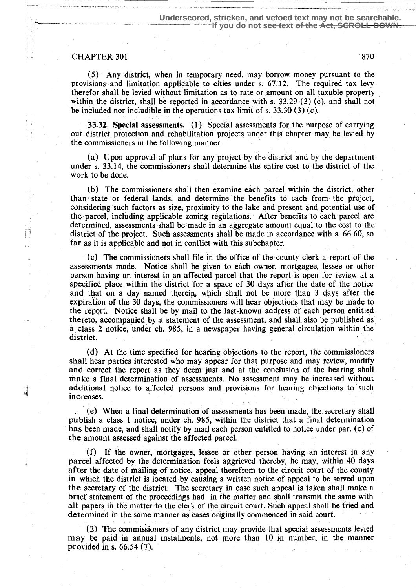# $-$  CHAPTER 301 870

ьÌ

(5) Any district, when in temporary need, may borrow money pursuant to the provisions and limitation applicable to cities under s. 67.12. The required tax levy therefor shall be levied without limitation as to rate or 'amount on all taxable property within the district, shall be reported in accordance with s. 33 .29 (3) (c), and shall not be included nor includible in the operations tax limit of s. 33.30 (3) (c).

33.32 Special assessments. (1) Special assessments for the purpose of carrying out district protection and rehabilitation projects under this chapter may be levied by the commissioners in the following manner:

(a) Upon approval of plans for any project by the district and by the department under s. 33.14, the commissioners shall determine the entire cost to the district of the work to be done.

(b) The commissioners shall then examine each parcel within the district, other than state or federal lands, and determine the benefits to each from the project, considering such factors as size, proximity to the lake and present and potential use of the parcel, including applicable zoning regulations. After benefits to each parcel are determined, assessments shall be made in an aggregate amount equal to the cost to the district of the project. Such assessments shall be made in accordance with s. 66.60, so far as it is applicable and not in conflict with this subchapter.

(c) The commissioners shall file in the office of the county clerk a report of the assessments made. Notice shall be given to each owner, mortgagee, lessee or other person having an interest in an affected parcel that the report is open for review at a specified place within the district for a space of 30 days after the date of the notice and that on a day named therein, which shall not be more than 3 days after the expiration of the 30 days, the commissioners will hear objections that may be made to the report. Notice shall be by mail to the last-known address of each person entitled thereto, accompanied by a statement of the assessment, and shall also be published as a class 2 notice, under ch. 9\$5, in a newspaper having general circulation within the district.

(d) At the time specified for hearing objections to the report, the commissioners shall hear parties interested who may appear for that purpose and may review, modify and correct the report as they deem just and at the conclusion of the hearing shall make a final determination of assessments. No assessment may be increased without additional notice to affected persons and provisions for hearing objections to such increases.

(e) When a final determination of assessments has been made, the secretary shall publish a class 1 notice, under ch. 985, within the district that a final determination has been made, and shall notify by mail each person entitled to notice under par . (c) of the amount assessed against the affected parcel.

(f) If the owner, mortgagee, lessee or other person having an interest in any parcel affected by the determination feels aggrieved thereby; he may, within 40 days after the date of mailing of notice ; appeal therefrom to the circuit court of the county in which the district is located by causing a written notice of appeal to be served upon the secretary of the district. The secretary in case such appeal is taken shall make a brief statement of the proceedings had in the matter and shall transmit the same with all papers in the matter to the clerk of the circuit court. Such appeal shall be tried and determined in the same manner as cases originally commenced in said court.

(2) The commissioners of any district may provide that special assessments levied may be paid in annual instalments, not more than 10 in number, in the manner provided in s. 66.54 (7).

. m ...,\_ . \_ . . \_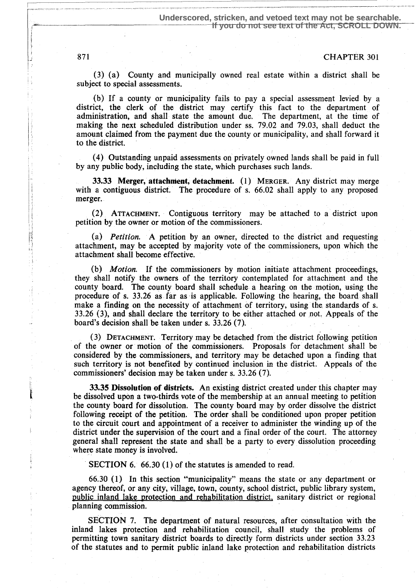(3) (a) County and municipally owned real estate within a district shall be subject to special assessments.

(b) If a county or municipality fails to pay a special assessment levied by a district, the clerk of the district may certify this fact to the department of administration, and shall state the amount due. The department, at the time of making the next scheduled distribution under ss . 79.02 and 79.03, shall deduct the amount claimed from the payment due the county or municipality, and shall forward it to the district.

(4) Outstanding unpaid assessments on privately owned lands shall be paid in full by any public body, including the state, which purchases such lands.

33.33 Merger, attachment, detachment. (1) MERGER. Any district may merge with a contiguous district. The procedure of s. 66.02 shall apply to any proposed merger.

(2) ATTACHMENT. Contiguous territory may be attached to a district upon petition by the owner or motion of the commissioners.

(a) Petition. A petition by an owner, directed to the district and requesting attachment, may be accepted by majority vote of the commissioners, upon which the attachment shall become effective.

(b) Motion. If the commissioners by motion initiate attachment proceedings, they shall notify the owners of the territory contemplated for attachment and the county board. The county board shall schedule a hearing on the motion, using the procedure of s. 33.26 as far as is applicable . Following the hearing, the board shall make a finding on the necessity of attachment of territory, using the standards of s. 33.26 (3), and shall declare the territory to be either attached or not. Appeals of the board's decision shall be taken under s. 33.26 (7).

(3) DETACHMENT. Territory may be detached from the district following petition of the owner or motion of the commissioners. Proposals for detachment shall be considered by the commissioners, and territory may be detached upon a finding that such territory is not benefited by continued inclusion in the district . Appeals of the commissioners' decision may be taken under s. 33.26 (7).

33.35 Dissolution of districts. An existing district created under this chapter may be dissolved upon a two-thirds vote of the membership at an annual meeting to petition the county board for dissolution. The county board may by order dissolve the district following receipt of the petition. The order shall be conditioned upon proper petition to the circuit court and appointment of a receiver to administer the winding up of the district under the supervision of the court and a final order of the court. The attorney general shall represent the state and shall be a party to every dissolution proceeding where state money is involved.

SECTION 6. 66.30 (1) of the statutes is amended to read.

66.30 (1) In this section "municipality" means the state or any department or agency thereof, or any city, village, town, county, school district, public library system, public inland lake protection and rehabilitation district, sanitary district or regional planning commission.

SECTION 7. The department of natural resources, after consultation with the inland lakes protection and rehabilitation council, shall study the problems of permitting town sanitary district boards to directly form districts under section 33.23 of the statutes and to permit public inland lake protection and rehabilitation districts